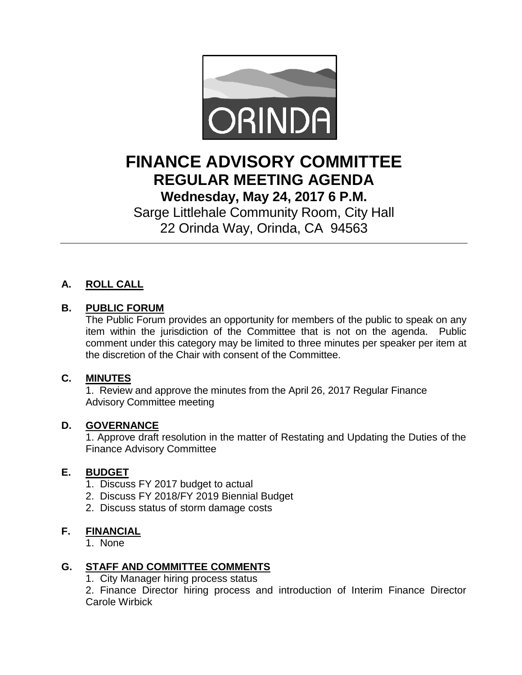

# **FINANCE ADVISORY COMMITTEE REGULAR MEETING AGENDA Wednesday, May 24, 2017 6 P.M.**

Sarge Littlehale Community Room, City Hall 22 Orinda Way, Orinda, CA 94563

## **A. ROLL CALL**

### **B. PUBLIC FORUM**

The Public Forum provides an opportunity for members of the public to speak on any item within the jurisdiction of the Committee that is not on the agenda. Public comment under this category may be limited to three minutes per speaker per item at the discretion of the Chair with consent of the Committee.

#### **C. MINUTES**

1. Review and approve the minutes from the April 26, 2017 Regular Finance Advisory Committee meeting

#### **D. GOVERNANCE**

1. Approve draft resolution in the matter of Restating and Updating the Duties of the Finance Advisory Committee

#### **E. BUDGET**

- 1. Discuss FY 2017 budget to actual
- 2. Discuss FY 2018/FY 2019 Biennial Budget
- 2. Discuss status of storm damage costs

#### **F. FINANCIAL**

1. None

#### **G. STAFF AND COMMITTEE COMMENTS**

1. City Manager hiring process status

2. Finance Director hiring process and introduction of Interim Finance Director Carole Wirbick